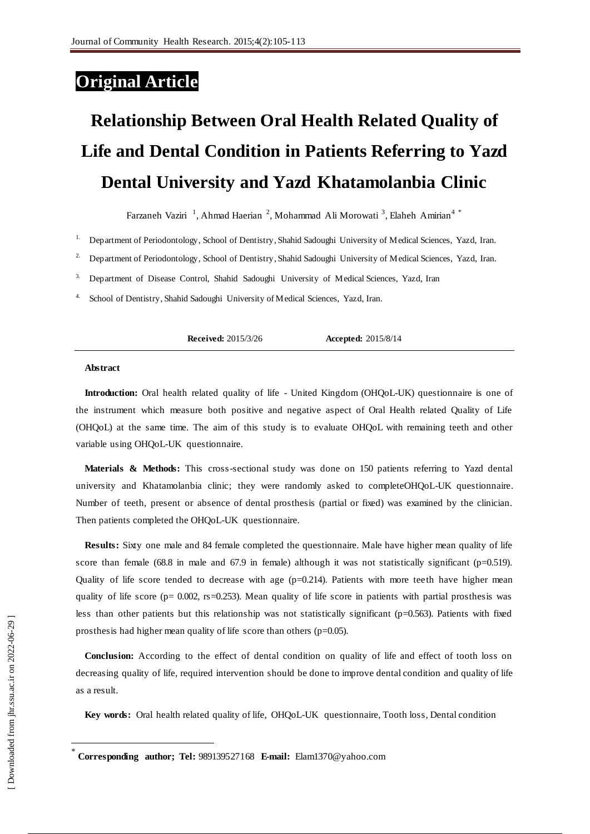## **Original Article**

# **Relationship Between Oral Health Related Quality of Life and Dental Condition in Patients Referring to Yazd Dental University and Yazd Khatamolanbia Clinic**

Farzaneh Vaziri<sup>1</sup>, Ahmad Haerian<sup>2</sup>, Mohammad Ali Morowati<sup>3</sup>, Elaheh Amirian<sup>4\*</sup>

<sup>1.</sup> Department of Periodontology, School of Dentistry, Shahid Sadoughi University of Medical Sciences, Yazd, Iran.

<sup>2.</sup> Department of Periodontology, School of Dentistry, Shahid Sadoughi University of Medical Sciences, Yazd, Iran.

<sup>3.</sup> Department of Disease Control, Shahid Sadoughi University of Medical Sciences, Yazd, Iran

School of Dentistry, Shahid Sadoughi University of Medical Sciences, Yazd, Iran.

**Received:** 2015/3/26 **Accepted:** 2015/8/14

#### **Abstract**

**Introduction:** Oral health related quality of life - United Kingdom (OHQoL-UK) questionnaire is one of the instrument which measure both positive and negative aspect of Oral Health related Quality of Life (OHQoL) at the same time. The aim of this study is to evaluate OHQoL with remaining teeth and other variable using OHQoL-UK questionnaire.

**Materials & Methods:** This cross-sectional study was done on 150 patients referring to Yazd dental university and Khatamolanbia clinic; they were randomly asked to completeOHQoL-UK questionnaire. Number of teeth, present or absence of dental prosthesis (partial or fixed) was examined by the clinician. Then patients completed the OHQoL-UK questionnaire.

**Results:** Sixty one male and 84 female completed the questionnaire. Male have higher mean quality of life score than female (68.8 in male and 67.9 in female) although it was not statistically significant (p=0.519). Quality of life score tended to decrease with age  $(p=0.214)$ . Patients with more teeth have higher mean quality of life score ( $p= 0.002$ , rs=0.253). Mean quality of life score in patients with partial prosthesis was less than other patients but this relationship was not statistically significant (p=0.563). Patients with fixed prosthesis had higher mean quality of life score than others (p=0.05).

**Conclusion:** According to the effect of dental condition on quality of life and effect of tooth loss on decreasing quality of life, required intervention should be done to improve dental condition and quality of life as a result.

**Key words:** Oral health related quality of life, OHQoL-UK questionnaire, Tooth loss, Dental condition

 $\overline{a}$ 

<sup>\*</sup> **Corresponding author; Tel:** 989139527168 **E-mail:** Elam1370@yahoo.com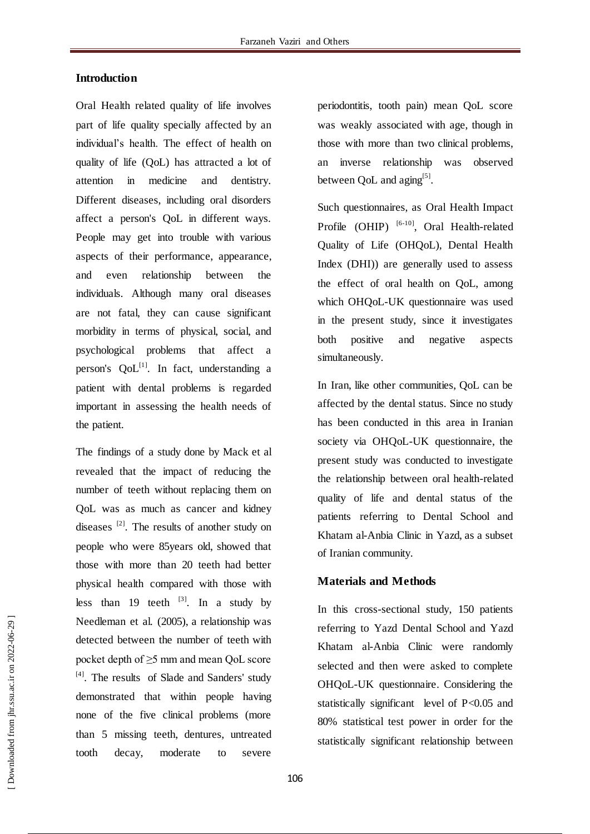#### **Introduction**

Oral Health related quality of life involves part of life quality specially affected by an individual's health. The effect of health on quality of life (QoL) has attracted a lot of attention in medicine and dentistry. Different diseases, including oral disorders affect a person's QoL in different ways. People may get into trouble with various aspects of their performance, appearance, and even relationship between the individuals. Although many oral diseases are not fatal, they can cause significant morbidity in terms of physical, social, and psychological problems that affect a person's  $QoL^{[1]}$ . In fact, understanding a patient with dental problems is regarded important in assessing the health needs of the patient.

The findings of a study done by Mack et al revealed that the impact of reducing the number of teeth without replacing them on QoL was as much as cancer and kidney diseases  $^{[2]}$ . The results of another study on people who were 85years old, showed that those with more than 20 teeth had better physical health compared with those with less than 19 teeth  $^{[3]}$ . In a study by Needleman et al. (2005), a relationship was detected between the number of teeth with pocket depth of ≥5 mm and mean QoL score [4]. The results of Slade and Sanders' study demonstrated that within people having none of the five clinical problems (more than 5 missing teeth, dentures, untreated tooth decay, moderate to severe

periodontitis, tooth pain) mean QoL score was weakly associated with age, though in those with more than two clinical problems, an inverse relationship was observed between QoL and aging<sup>[5]</sup>.

Such questionnaires, as Oral Health Impact Profile  $(OHIP)$ <sup>[6-10]</sup>, Oral Health-related Quality of Life (OHQoL), Dental Health Index (DHI)) are generally used to assess the effect of oral health on QoL, among which OHQoL-UK questionnaire was used in the present study, since it investigates both positive and negative aspects simultaneously.

In Iran, like other communities, QoL can be affected by the dental status. Since no study has been conducted in this area in Iranian society via OHQoL-UK questionnaire, the present study was conducted to investigate the relationship between oral health-related quality of life and dental status of the patients referring to Dental School and Khatam al-Anbia Clinic in Yazd, as a subset of Iranian community.

### **Materials and Methods**

In this cross-sectional study, 150 patients referring to Yazd Dental School and Yazd Khatam al-Anbia Clinic were randomly selected and then were asked to complete OHQoL-UK questionnaire. Considering the statistically significant level of P<0.05 and 80% statistical test power in order for the statistically significant relationship between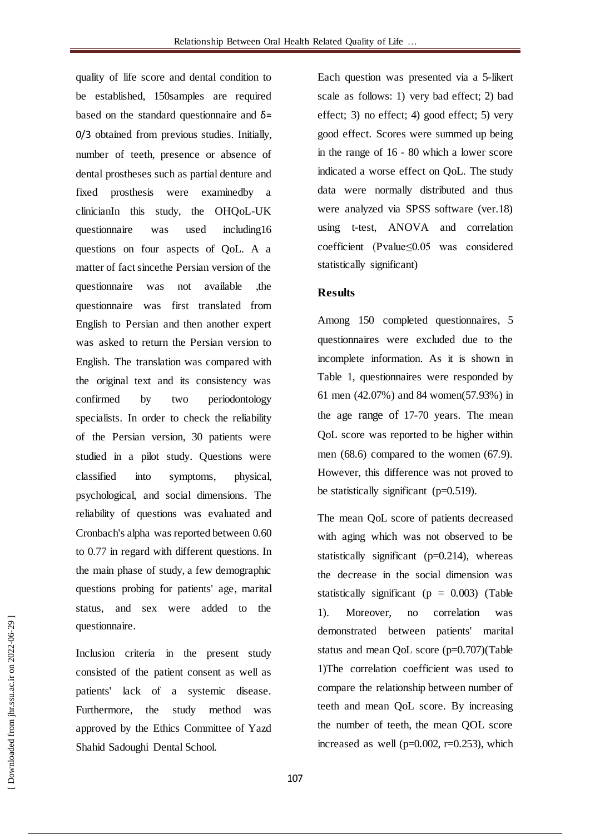quality of life score and dental condition to be established, 150samples are required based on the standard questionnaire and  $\delta$ = 0/3 obtained from previous studies. Initially, number of teeth, presence or absence of dental prostheses such as partial denture and fixed prosthesis were examinedby a clinicianIn this study, the OHQoL-UK questionnaire was used including16 questions on four aspects of QoL. A a matter of fact sincethe Persian version of the questionnaire was not available ,the questionnaire was first translated from English to Persian and then another expert was asked to return the Persian version to English. The translation was compared with the original text and its consistency was confirmed by two periodontology specialists. In order to check the reliability of the Persian version, 30 patients were studied in a pilot study. Questions were classified into symptoms, physical, psychological, and social dimensions. The reliability of questions was evaluated and Cronbach's alpha was reported between 0.60 to 0.77 in regard with different questions. In the main phase of study, a few demographic questions probing for patients' age, marital status, and sex were added to the questionnaire.

Inclusion criteria in the present study consisted of the patient consent as well as patients' lack of a systemic disease. Furthermore, the study method was approved by the Ethics Committee of Yazd Shahid Sadoughi Dental School.

Each question was presented via a 5-likert scale as follows: 1) very bad effect; 2) bad effect; 3) no effect; 4) good effect; 5) very good effect. Scores were summed up being in the range of 16 - 80 which a lower score indicated a worse effect on QoL. The study data were normally distributed and thus were analyzed via SPSS software (ver.18) using t-test, ANOVA and correlation coefficient (Pvalue≤0.05 was considered statistically significant)

#### **Results**

Among 150 completed questionnaires, 5 questionnaires were excluded due to the incomplete information. As it is shown in Table 1, questionnaires were responded by 61 men (42.07%) and 84 women(57.93%) in the age range of 17-70 years. The mean QoL score was reported to be higher within men (68.6) compared to the women (67.9). However, this difference was not proved to be statistically significant (p=0.519).

The mean QoL score of patients decreased with aging which was not observed to be statistically significant ( $p=0.214$ ), whereas the decrease in the social dimension was statistically significant ( $p = 0.003$ ) (Table 1). Moreover, no correlation was demonstrated between patients' marital status and mean QoL score (p=0.707)(Table 1)The correlation coefficient was used to compare the relationship between number of teeth and mean QoL score. By increasing the number of teeth, the mean QOL score increased as well ( $p=0.002$ ,  $r=0.253$ ), which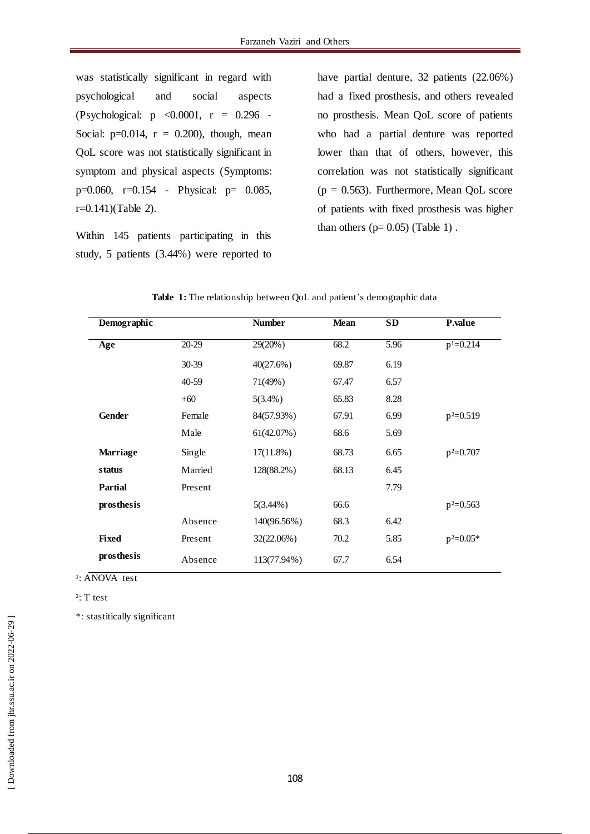was statistically significant in regard with psychological and social aspects (Psychological: p <0.0001, r = 0.296 - Social:  $p=0.014$ ,  $r = 0.200$ , though, mean QoL score was not statistically significant in symptom and physical aspects (Symptoms: p=0.060, r=0.154 - Physical: p= 0.085, r=0.141)(Table 2).

Within 145 patients participating in this study, 5 patients (3.44%) were reported to have partial denture, 32 patients (22.06%) had a fixed prosthesis, and others revealed no prosthesis. Mean QoL score of patients who had a partial denture was reported lower than that of others, however, this correlation was not statistically significant  $(p = 0.563)$ . Furthermore, Mean QoL score of patients with fixed prosthesis was higher than others  $(p= 0.05)$  (Table 1).

| Demographic     |           | <b>Number</b> | <b>Mean</b> | <b>SD</b> | <b>P.value</b> |
|-----------------|-----------|---------------|-------------|-----------|----------------|
| Age             | 20-29     | 29(20%)       | 68.2        | 5.96      | $p^1 = 0.214$  |
|                 | $30 - 39$ | 40(27.6%)     | 69.87       | 6.19      |                |
|                 | 40-59     | 71(49%)       | 67.47       | 6.57      |                |
|                 | $+60$     | $5(3.4\%)$    | 65.83       | 8.28      |                |
| <b>Gender</b>   | Female    | 84(57.93%)    | 67.91       | 6.99      | $p^2=0.519$    |
|                 | Male      | 61(42.07%)    | 68.6        | 5.69      |                |
| <b>Marriage</b> | Single    | $17(11.8\%)$  | 68.73       | 6.65      | $p^2=0.707$    |
| status          | Married   | 128(88.2%)    | 68.13       | 6.45      |                |
| <b>Partial</b>  | Present   |               |             | 7.79      |                |
| prosthesis      |           | $5(3.44\%)$   | 66.6        |           | $p^2=0.563$    |
|                 | Absence   | 140(96.56%)   | 68.3        | 6.42      |                |
| <b>Fixed</b>    | Present   | 32(22.06%)    | 70.2        | 5.85      | $p^2=0.05*$    |
| prosthesis      | Absence   | 113(77.94%)   | 67.7        | 6.54      |                |

Table 1: The relationship between QoL and patient's demographic data

<sup>1</sup>: ANOVA test

²: T test

\*: stastitically significant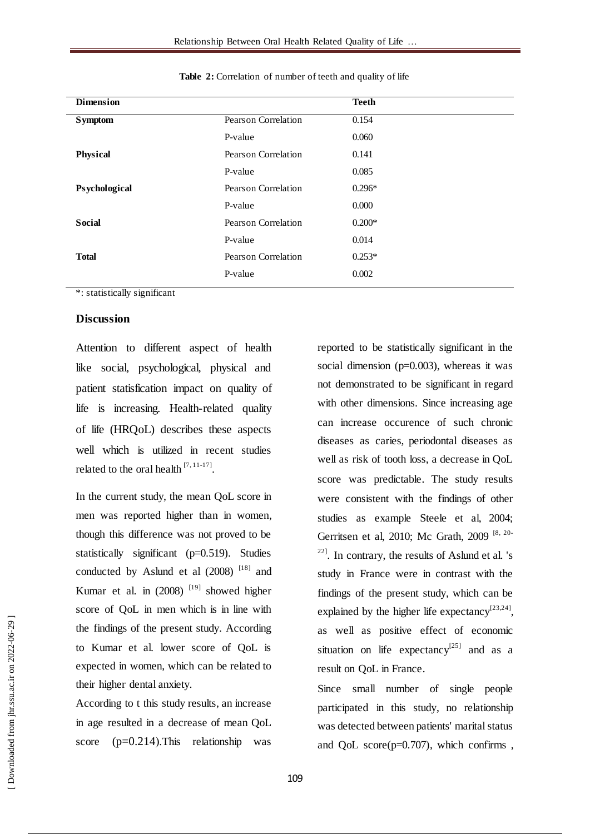| <b>Dimension</b> |                     | <b>Teeth</b> |
|------------------|---------------------|--------------|
| <b>Symptom</b>   | Pearson Correlation | 0.154        |
|                  | P-value             | 0.060        |
| <b>Physical</b>  | Pearson Correlation | 0.141        |
|                  | P-value             | 0.085        |
| Psychological    | Pearson Correlation | $0.296*$     |
|                  | P-value             | 0.000        |
| <b>Social</b>    | Pearson Correlation | $0.200*$     |
|                  | P-value             | 0.014        |
| <b>Total</b>     | Pearson Correlation | $0.253*$     |
|                  | P-value             | 0.002        |
|                  |                     |              |

**Table 2:** Correlation of number of teeth and quality of life

\*: statistically significant

#### **Discussion**

Attention to different aspect of health like social, psychological, physical and patient statisfication impact on quality of life is increasing. Health-related quality of life (HRQoL) describes these aspects well which is utilized in recent studies related to the oral health  $^{[7,11-17]}$ .

In the current study, the mean QoL score in men was reported higher than in women, though this difference was not proved to be statistically significant (p=0.519). Studies conducted by Aslund et al  $(2008)^{[18]}$  and Kumar et al. in  $(2008)$ <sup>[19]</sup> showed higher score of QoL in men which is in line with the findings of the present study. According to Kumar et al. lower score of QoL is expected in women, which can be related to their higher dental anxiety.

According to t this study results, an increase in age resulted in a decrease of mean QoL score  $(p=0.214)$ . This relationship was

reported to be statistically significant in the social dimension (p=0.003), whereas it was not demonstrated to be significant in regard with other dimensions. Since increasing age can increase occurence of such chronic diseases as caries, periodontal diseases as well as risk of tooth loss, a decrease in QoL score was predictable. The study results were consistent with the findings of other studies as example Steele et al, 2004; Gerritsen et al, 2010; Mc Grath, 2009<sup>[8, 20-</sup>  $22$ ]. In contrary, the results of Aslund et al. 's study in France were in contrast with the findings of the present study, which can be explained by the higher life expectancy<sup>[23,24]</sup>, as well as positive effect of economic situation on life expectancy<sup>[25]</sup> and as a result on QoL in France.

Since small number of single people participated in this study, no relationship was detected between patients' marital status and QoL score(p=0.707), which confirms ,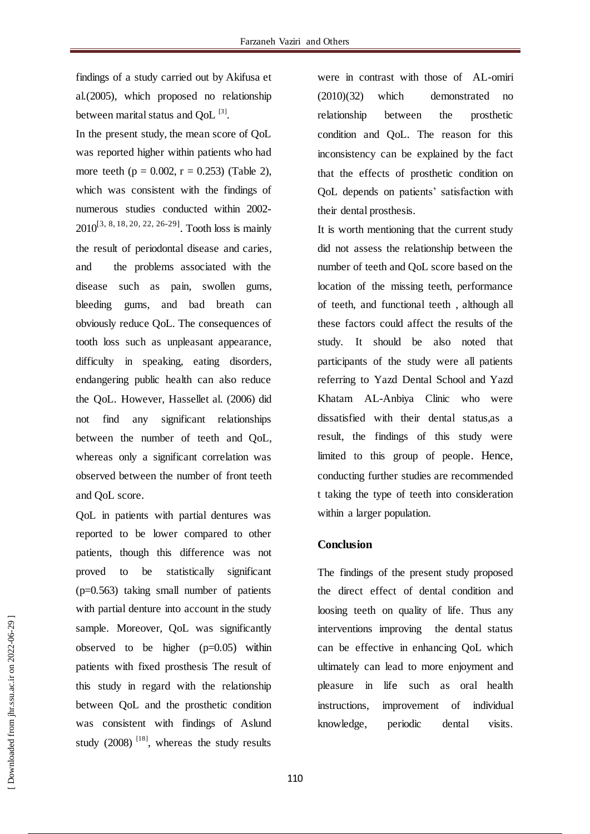findings of a study carried out by Akifusa et al.(2005), which proposed no relationship between marital status and  $QoL$   $^{[3]}$ .

In the present study, the mean score of QoL was reported higher within patients who had more teeth ( $p = 0.002$ ,  $r = 0.253$ ) (Table 2), which was consistent with the findings of numerous studies conducted within 2002-  $2010^{[3, 8, 18, 20, 22, 26-29]}$ . Tooth loss is mainly the result of periodontal disease and caries, and the problems associated with the disease such as pain, swollen gums, bleeding gums, and bad breath can obviously reduce QoL. The consequences of tooth loss such as unpleasant appearance, difficulty in speaking, eating disorders, endangering public health can also reduce the QoL. However, Hassellet al. (2006) did not find any significant relationships between the number of teeth and QoL, whereas only a significant correlation was observed between the number of front teeth and QoL score.

QoL in patients with partial dentures was reported to be lower compared to other patients, though this difference was not proved to be statistically significant (p=0.563) taking small number of patients with partial denture into account in the study sample. Moreover, QoL was significantly observed to be higher  $(p=0.05)$  within patients with fixed prosthesis The result of this study in regard with the relationship between QoL and the prosthetic condition was consistent with findings of Aslund study  $(2008)^{18}$ , whereas the study results were in contrast with those of AL-omiri (2010)(32) which demonstrated no relationship between the prosthetic condition and QoL. The reason for this inconsistency can be explained by the fact that the effects of prosthetic condition on QoL depends on patients' satisfaction with their dental prosthesis.

It is worth mentioning that the current study did not assess the relationship between the number of teeth and QoL score based on the location of the missing teeth, performance of teeth, and functional teeth , although all these factors could affect the results of the study. It should be also noted that participants of the study were all patients referring to Yazd Dental School and Yazd Khatam AL-Anbiya Clinic who were dissatisfied with their dental status,as a result, the findings of this study were limited to this group of people. Hence, conducting further studies are recommended t taking the type of teeth into consideration within a larger population.

#### **Conclusion**

The findings of the present study proposed the direct effect of dental condition and loosing teeth on quality of life. Thus any interventions improving the dental status can be effective in enhancing QoL which ultimately can lead to more enjoyment and pleasure in life such as oral health instructions, improvement of individual knowledge, periodic dental visits.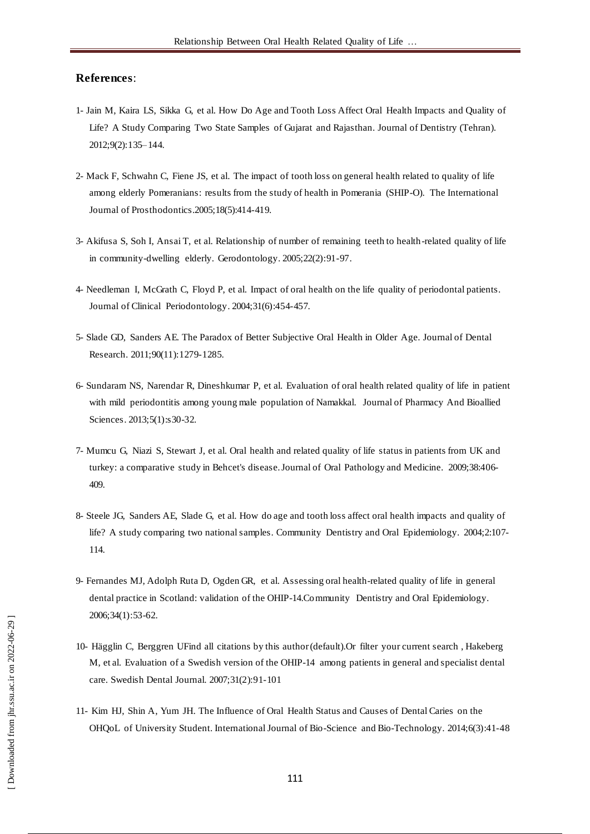#### **References**:

- 1- Jain M, Kaira LS, Sikka G, et al. How Do Age and Tooth Loss Affect Oral Health Impacts and Quality of Life? A Study Comparing Two State Samples of Gujarat and Rajasthan. Journal of Dentistry (Tehran). 2012;9(2):135–144.
- 2- Mack F, Schwahn C, Fiene JS, et al. The impact of tooth loss on general health related to quality of life among elderly Pomeranians: results from the study of health in Pomerania (SHIP-O). The International Journal of Prosthodontics.2005;18(5):414-419.
- 3- Akifusa S, Soh I, Ansai T, et al. Relationship of number of remaining teeth to health-related quality of life in community-dwelling elderly. [Gerodontology.](http://www.ncbi.nlm.nih.gov/pubmed/15934350) 2005;22(2):91-97.
- 4- Needleman I, McGrath C, Floyd P, et al. Impact of oral health on the life quality of periodontal patients. Journal of Clinical Periodontology. 2004;31(6):454-457.
- 5- Slade GD, Sanders AE. The Paradox of Better Subjective Oral Health in Older Age. Journal of Dental Research. 2011;90(11):1279-1285.
- 6- Sundaram NS, Narendar R, Dineshkumar P, et al. Evaluation of oral health related quality of life in patient with mild periodontitis among young male population of Namakkal. [Journal of Pharmacy And Bioallied](http://www.jpbsonline.org/)  [Sciences.](http://www.jpbsonline.org/) 2013;5(1):s30-32.
- 7- Mumcu G, Niazi S, Stewart J, et al. Oral health and related quality of life status in patients from UK and turkey: a comparative study in Behcet's disease. Journal of Oral Pathology and Medicine. 2009;38:406- 409.
- 8- Steele JG, Sanders AE, Slade G, et al. How do age and tooth loss affect oral health impacts and quality of life? A study comparing two national samples. Community Dentistry and Oral Epidemiology. 2004;2:107- 114.
- 9- Fernandes MJ, Adolph Ruta D, Ogden GR, et al. Assessing oral health-related quality of life in general dental practice in Scotland: validation of the OHIP-14.Community Dentistry and Oral Epidemiology. 2006;34(1):53-62.
- 10- Hägglin C, Berggren UFind all citations by this author(default).Or filter your current search , Hakeberg M, et al. Evaluation of a Swedish version of the OHIP-14 among patients in general and specialist dental care. Swedish Dental Journal. 2007;31(2):91-101
- 11- Kim HJ, Shin A, Yum JH. The Influence of Oral Health Status and Causes of Dental Caries on the OHQoL of University Student. International Journal of Bio-Science and Bio-Technology. 2014;6(3):41-48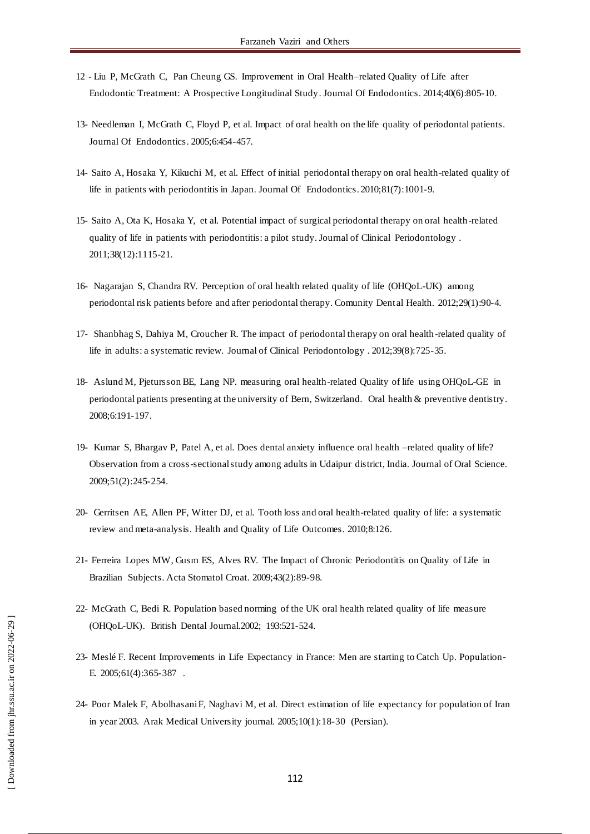- 12 [Liu](javascript:void\(0\);) P, [McGrath](javascript:void\(0\);) C, [Pan Cheung](javascript:void\(0\);) GS. Improvement in Oral Health–related Quality of Life after Endodontic Treatment: A Prospective Longitudinal Study. Journal Of Endodontics. 2014;40(6):805-10.
- 13- Needleman I, McGrath C, Floyd P, et al. Impact of oral health on the life quality of periodontal patients. Journal Of Endodontics. 2005;6:454-457.
- 14- Saito A, Hosaka Y, Kikuchi M, et al. Effect of initial periodontal therapy on oral health-related quality of life in patients with periodontitis in Japan. Journal Of Endodontics. 2010;81(7):1001-9.
- 15- Saito A, Ota K, Hosaka Y, et al. Potential impact of surgical periodontal therapy on oral health-related quality of life in patients with periodontitis: a pilot study[. Journal of Clinical Periodontology .](http://onlinelibrary.wiley.com/journal/10.1111/%28ISSN%291600-051X) 2011;38(12):1115-21.
- 16- Nagarajan S, Chandra RV. Perception of oral health related quality of life (OHQoL-UK) among periodontal risk patients before and after periodontal therapy. Comunity Dent al Health. 2012;29(1):90-4.
- 17- Shanbhag S, Dahiya M, Croucher R. The impact of periodontal therapy on oral health -related quality of life in adults: a systematic review. [Journal of Clinical Periodontology .](http://onlinelibrary.wiley.com/journal/10.1111/%28ISSN%291600-051X) 2012;39(8):725-35.
- 18- Aslund M, Pjetursson BE, Lang NP. measuring oral health-related Quality of life using OHQoL-GE in periodontal patients presenting at the university of Bern, Switzerland. Oral health & preventive dentistry. 2008;6:191-197.
- 19- Kumar S, Bhargav P, Patel A, et al. Does dental anxiety influence oral health –related quality of life? Observation from a cross-sectional study among adults in Udaipur district, India. Journal of Oral Science. 2009;51(2):245-254.
- 20- Gerritsen AE, Allen PF, Witter DJ, et al. Tooth loss and oral health-related quality of life: a systematic review and meta-analysis. Health and Quality of Life Outcomes. 2010;8:126.
- 21- Ferreira Lopes MW, Gusm ES, Alves RV. The Impact of Chronic Periodontitis on Quality of Life in Brazilian Subjects. Acta Stomatol Croat. 2009;43(2):89-98.
- 22- McGrath C, Bedi R. Population based norming of the UK oral health related quality of life measure (OHQoL-UK). British Dental Journal.2002; 193:521-524.
- 23- Meslé F. Recent Improvements in Life Expectancy in France: Men are starting to Catch Up. Population-E. 2005;61(4):365-387 .
- 24- Poor Malek F, Abolhasani F, Naghavi M, et al. Direct estimation of life expectancy for population of Iran in year 2003. Arak Medical University journal. 2005;10(1):18-30 (Persian).